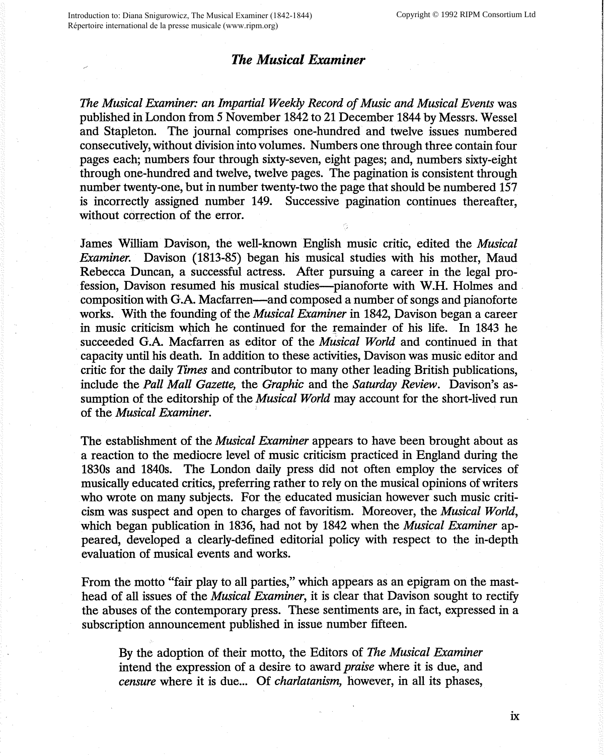## *The Musical Examiner*

*The Musical Examiner: an Impartial Weekly Record of Music and Musical Events* was published in London from *5* November 1842 to 21 December 1844 by Messrs. Wessel and Stapleton. The journal comprises one-hundred and twelve issues numbered consecutively, without division into volumes. Numbers one through three contain four pages each; numbers four through sixty-seven, eight pages; and, numbers sixty-eight through one-hundred and twelve, twelve pages. The pagination is consistent through number twenty-one, but in number twenty-two the page that should be numbered 157 is incorrectly assigned number 149. Successive pagination continues thereafter, without correction of the error.

James William Davison, the well-known English music critic, edited the *Musical Examiner.* Davison (1813-85) began his musical studies with his mother, Maud Rebecca Duncan, a successful actress. After pursuing a career in the legal profession, Davison resumed his musical studies-pianoforte with W.H. Holmes and composition with G.A. Macfarren—and composed a number of songs and pianoforte works. With the founding of the *Musical Examiner* in 1842, Davison began a career in music criticism which he continued for the remainder of his life. In 1843 he succeeded G.A. Macfarren as editor of the *Musical World* and continued in that capacity until his death. In addition to these activities, Davison was music editor and critic for the daily *Times* and contributor to many other leading British publications, include the *Pall Mall Gazette,* the *Graphic* and the *Saturday Review.* Davison's assumption of the editorship of the *Musical World* may account for the short-lived run of the *Musical Examiner.* 

The establishment of the *Musical Examiner* appears to have been brought about as a reaction to the mediocre level of music criticism practiced in England during the 1830s and 1840s. The London daily press did not often employ the services of musically educated critics, preferring rather to rely on the musical opinions of writers who wrote on many subjects. For the educated musician however such music criticism was suspect and open to charges of favoritism. Moreover, the *Musical World,*  which began publication in 1836, had not by 1842 when the *Musical Examiner* appeared, developed a clearly-defined editorial policy with respect to the in-depth evaluation of musical events and works.

From the motto "fair play to all parties," which appears as an epigram on the masthead of all issues of the *Musical Examiner,* it is clear that Davison sought to rectify the abuses of the contemporary press. These sentiments are, in fact, expressed in a subscription announcement published in issue number fifteen.

By the adoption of their motto, the Editors of *The Musical Examiner*  intend the expression of a desire to award *praise* where it is due, and *censure* where it is due... Of *charlatanism*, however, in all its phases,

ix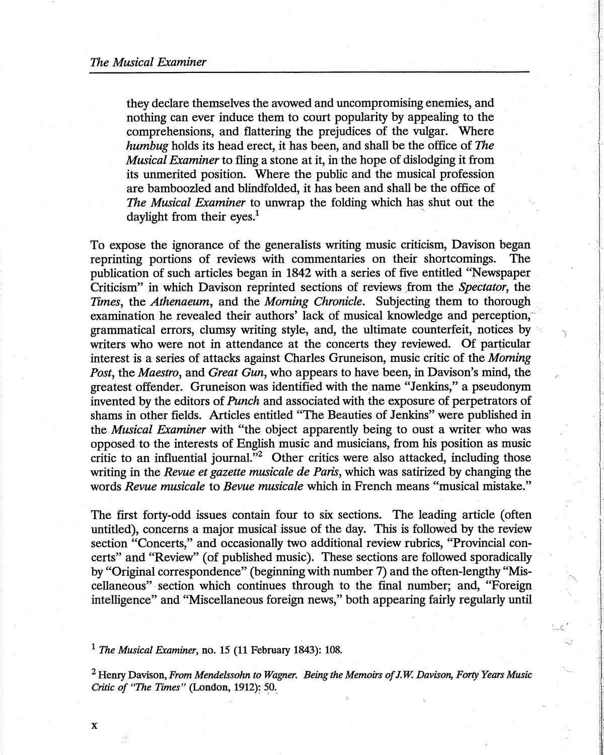they declare themselves the avowed and uncompromising enemies, and nothing can ever induce them to court popularity by appealing to the comprehensions, and flattering the prejudices of the vulgar. Where *humbug* holds its head erect, it has been, and shall be the office of *The Musical Examiner* to fling a stone at it, in the hope of dislodging it from its unmerited position. Where the public and the musical profession are bamboozled and blindfolded, it has been and shall be the office of *The Musical Examiner* to unwrap the folding which has shut out the daylight from their eyes.<sup>1</sup>

To expose the ignorance of the generalists writing music criticism, Davison began reprinting portions of reviews with commentaries on their shortcomings. The publication of such articles began in 1842 with a series of five entitled "Newspaper Criticism" in which Davison reprinted sections of reviews \_from the *Spectator,* the *Times,* the *Athenaeum,* and the *Morning Chronicle.* Subjecting them to thorough examination he revealed their authors' lack of musical knowledge and perception, grammatical errors, clumsy writing style, and, the ultimate counterfeit, notices by writers who were not in attendance at the concerts they reviewed. Of particular interest is a series of attacks against Charles Gruneison, music critic of the *Morning Post,* the *Maestro,* and *Great Gun,* who appears to have been, in Davison's mind, the greatest offender. Gruneison was identified with the name "Jenkins," a pseudonym invented by the editors of *Punch* and associated with the exposure of perpetrators of shams in other fields. Articles entitled "The Beauties of Jenkins" were published in the *Musical Examiner* with "the object apparently being to oust a writer who was opposed to the interests of English music and musicians, from his position as music critic to an influential journal."<sup>2</sup> Other critics were also attacked, including those writing in the *Revue et gazette musicale de Paris,* which was satirized by changing the words *Revue musicale* to *Bevue musicale* which in French means "musical mistake."

J

The first forty-odd issues contain four to six sections. The leading article ( often untitled), concerns a major musical issue of the day. This is followed by the review section "Concerts," and occasionally two additional review rubrics, "Provincial concerts" and "Review" ( of published music). These sections are followed sporadically by "Original correspondence" (beginning with number 7) and the often-lengthy "Miscellaneous" section which continues through to the final number; and, "Foreign intelligence" and "Miscellaneous foreign news," both appearing fairly regularly until

<sup>1</sup>*The Musical Examiner,* no. 15 (11 February 1843): 108.

<sup>2</sup>Henry Davison, *From Mendelssohn to Wagner. Being the Memoirs of* J. W. *Davison, Forty Years Music Critic of "The Times"* (London, 1912): 50.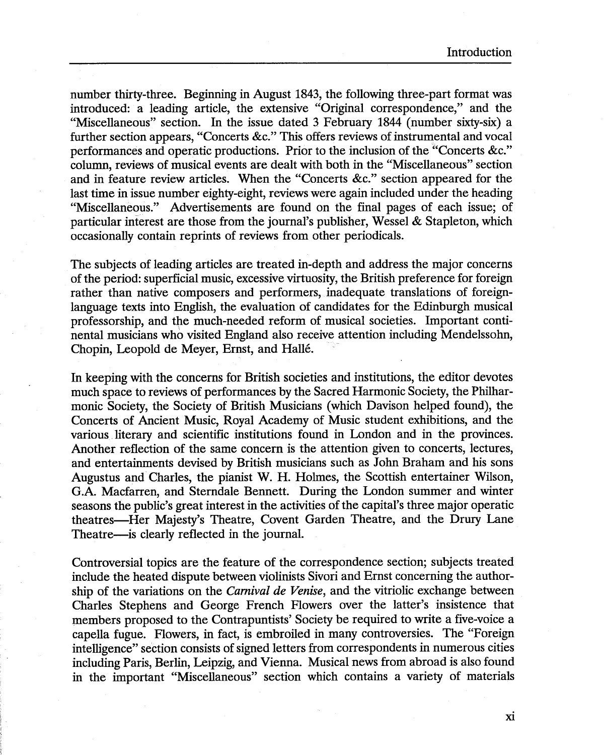number thirty-three. Beginning in August 1843, the following three-part format was introduced: a leading article, the extensive "Original correspondence," and the "Miscellaneous" section. In the issue dated 3 February 1844 (number sixty-six) a further section appears, "Concerts &c." This offers reviews of instrumental and vocal performances and operatic productions. Prior to the inclusion of the ''Concerts &c." column, reviews of musical events are dealt with both in the "Miscellaneous" section and in feature review articles. When the "Concerts &c." section appeared for the last time in issue number eighty-eight, reviews were again included under the heading "Miscellaneous." Advertisements are found on the final pages of each issue; of particular interest are those from the journal's publisher, Wessel & Stapleton, which occasionally contain reprints of reviews from other periodicals.

The subjects of leading articles are treated in-depth and address the major concerns of the period: superficial music, excessive virtuosity, the British preference for foreign rather than native composers and performers, inadequate translations of foreignlanguage texts into English, the evaluation of candidates for the Edinburgh musical professorship, and the much-needed reform of musical societies. Important continental musicians who visited England also receive attention including Mendelssohn, Chopin, Leopold de Meyer, Ernst, and Halle.

In keeping with the concerns for British societies and institutions, the editor devotes much space to reviews of performances by the Sacred Harmonic Society, the Philharmonic Society, the Society of British Musicians (which Davison helped found), the Concerts of Ancient Music, Royal Academy of Music student exhibitions, and the various literary and scientific institutions found in London and in the provinces. Another reflection of the same concern is the attention given to concerts, lectures, and entertainments devised by British musicians such as John Braham and his sons Augustus and Charles, the pianist W. H. Holmes, the Scottish entertainer Wilson, G.A. Macfarren, and Sterndale Bennett. During the London summer and winter seasons the public's great interest in the activities of the capital's three major operatic theatres-Her Majesty's Theatre, Covent Garden Theatre, and the Drury Lane Theatre-is clearly reflected in the journal.

Controversial topics are the feature of the correspondence section; subjects treated include the heated dispute between violinists Sivori and Ernst concerning the authorship of the variations on the *Carnival de Venise,* and the vitriolic exchange between Charles Stephens and George French Flowers over the latter's insistence that members proposed to the Contrapuntists' Society be required to write a five-voice a capella fugue. Flowers, in fact, is embroiled in many controversies. The "Foreign intelligence" section consists of signed letters from correspondents in numerous cities including Paris, Berlin, Leipzig, and Vienna. Musical news from abroad is also found in the important "Miscellaneous" section which contains a variety of materials